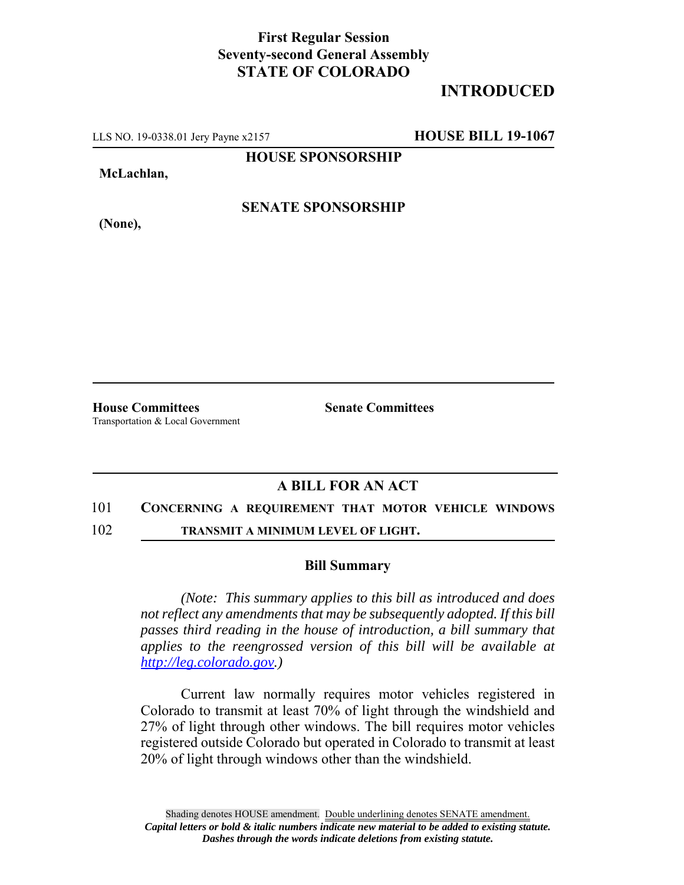## **First Regular Session Seventy-second General Assembly STATE OF COLORADO**

# **INTRODUCED**

LLS NO. 19-0338.01 Jery Payne x2157 **HOUSE BILL 19-1067**

**HOUSE SPONSORSHIP**

**McLachlan,**

**SENATE SPONSORSHIP**

**(None),**

**House Committees Senate Committees** Transportation & Local Government

### **A BILL FOR AN ACT**

#### 101 **CONCERNING A REQUIREMENT THAT MOTOR VEHICLE WINDOWS**

102 **TRANSMIT A MINIMUM LEVEL OF LIGHT.**

#### **Bill Summary**

*(Note: This summary applies to this bill as introduced and does not reflect any amendments that may be subsequently adopted. If this bill passes third reading in the house of introduction, a bill summary that applies to the reengrossed version of this bill will be available at http://leg.colorado.gov.)*

Current law normally requires motor vehicles registered in Colorado to transmit at least 70% of light through the windshield and 27% of light through other windows. The bill requires motor vehicles registered outside Colorado but operated in Colorado to transmit at least 20% of light through windows other than the windshield.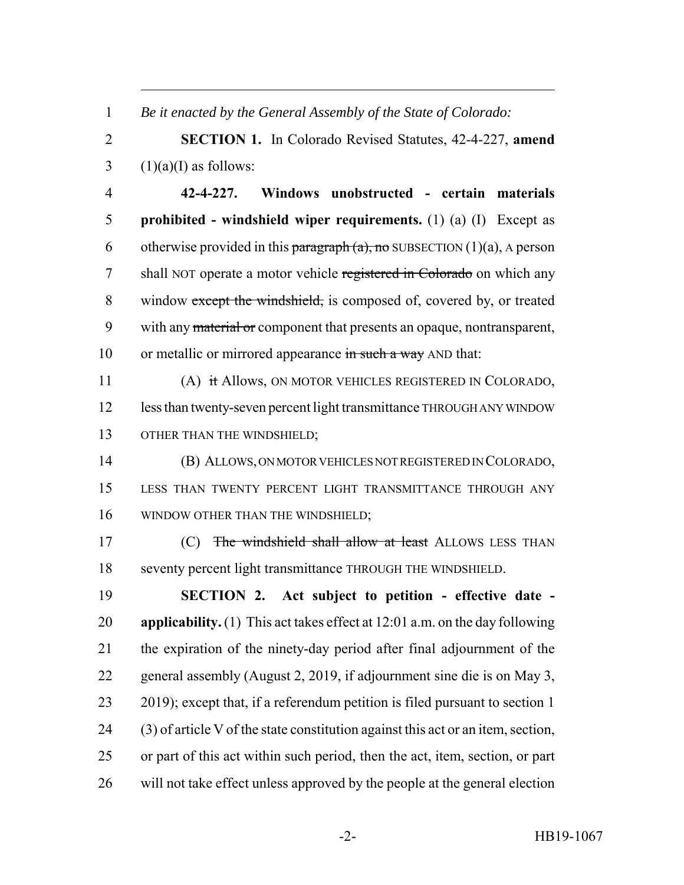*Be it enacted by the General Assembly of the State of Colorado:*

 **SECTION 1.** In Colorado Revised Statutes, 42-4-227, **amend**  $3 \quad (1)(a)(I)$  as follows:

 **42-4-227. Windows unobstructed - certain materials prohibited - windshield wiper requirements.** (1) (a) (I) Except as 6 otherwise provided in this paragraph  $(a)$ , no SUBSECTION  $(1)(a)$ , A person 7 shall NOT operate a motor vehicle registered in Colorado on which any 8 window except the windshield, is composed of, covered by, or treated with any material or component that presents an opaque, nontransparent, 10 or metallic or mirrored appearance in such a way AND that:

 (A) it Allows, ON MOTOR VEHICLES REGISTERED IN COLORADO, less than twenty-seven percent light transmittance THROUGH ANY WINDOW 13 OTHER THAN THE WINDSHIELD;

 (B) ALLOWS, ON MOTOR VEHICLES NOT REGISTERED IN COLORADO, LESS THAN TWENTY PERCENT LIGHT TRANSMITTANCE THROUGH ANY 16 WINDOW OTHER THAN THE WINDSHIELD;

17 (C) The windshield shall allow at least ALLOWS LESS THAN seventy percent light transmittance THROUGH THE WINDSHIELD.

 **SECTION 2. Act subject to petition - effective date - applicability.** (1) This act takes effect at 12:01 a.m. on the day following the expiration of the ninety-day period after final adjournment of the general assembly (August 2, 2019, if adjournment sine die is on May 3, 2019); except that, if a referendum petition is filed pursuant to section 1 (3) of article V of the state constitution against this act or an item, section, or part of this act within such period, then the act, item, section, or part will not take effect unless approved by the people at the general election